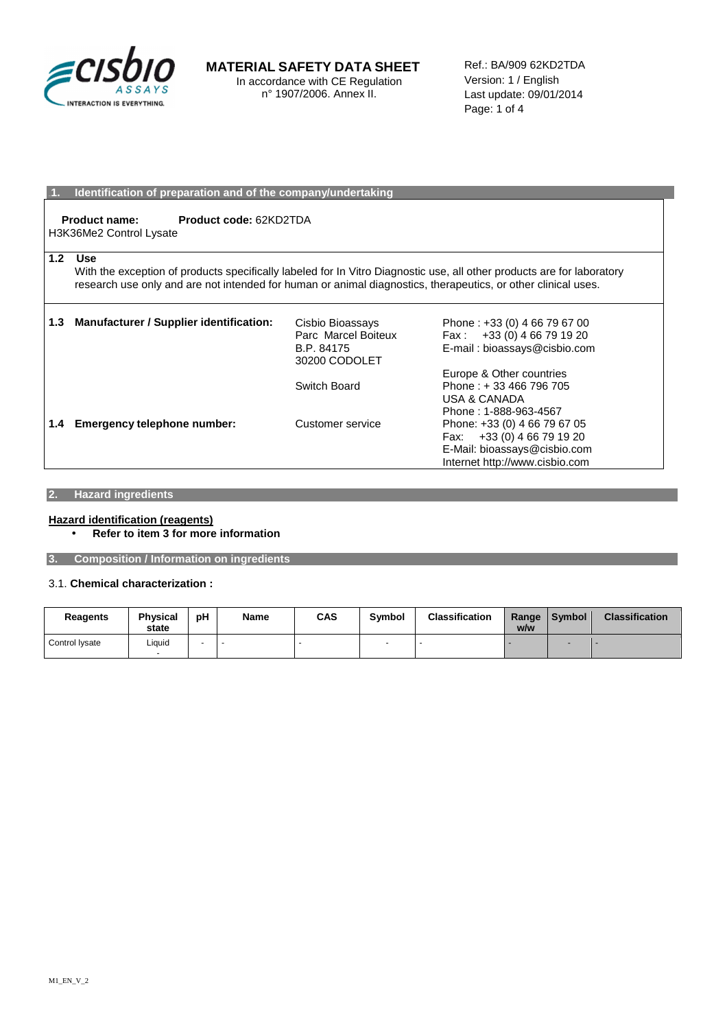

**MATERIAL SAFETY DATA SHEET**  In accordance with CE Regulation n° 1907/2006. Annex II.

Ref.: BA/909 62KD2TDA Version: 1 / English Last update: 09/01/2014 Page: 1 of 4

### **Identification of preparation and of the company/undertaking**

**Product name: Product code:** 62KD2TDA H3K36Me2 Control Lysate

#### **1.2 Use**

With the exception of products specifically labeled for In Vitro Diagnostic use, all other products are for laboratory research use only and are not intended for human or animal diagnostics, therapeutics, or other clinical uses.

| 1.3 | <b>Manufacturer / Supplier identification:</b> | Cisbio Bioassays<br>Parc Marcel Boiteux<br>B.P. 84175<br>30200 CODOLET | Phone: +33 (0) 4 66 79 67 00<br>Fax: $+33(0)$ 4 66 79 19 20<br>E-mail: bioassays@cisbio.com                                     |
|-----|------------------------------------------------|------------------------------------------------------------------------|---------------------------------------------------------------------------------------------------------------------------------|
|     |                                                | Switch Board                                                           | Europe & Other countries<br>Phone: +33 466 796 705<br><b>USA &amp; CANADA</b><br>Phone: 1-888-963-4567                          |
| 1.4 | <b>Emergency telephone number:</b>             | Customer service                                                       | Phone: +33 (0) 4 66 79 67 05<br>+33 (0) 4 66 79 19 20<br>Fax:<br>E-Mail: bioassays@cisbio.com<br>Internet http://www.cisbio.com |

## **2. Hazard ingredients**

### **Hazard identification (reagents)**  • **Refer to item 3 for more information**

**3. Composition / Information on ingredients** 

## 3.1. **Chemical characterization :**

| Reagents       | <b>Physical</b><br>state | рH | Name | CAS | Symbol | <b>Classification</b> | Range<br>w/w | <b>Symbol</b> | <b>Classification</b> |
|----------------|--------------------------|----|------|-----|--------|-----------------------|--------------|---------------|-----------------------|
| Control Ivsate | Liquid                   |    |      |     |        |                       |              |               |                       |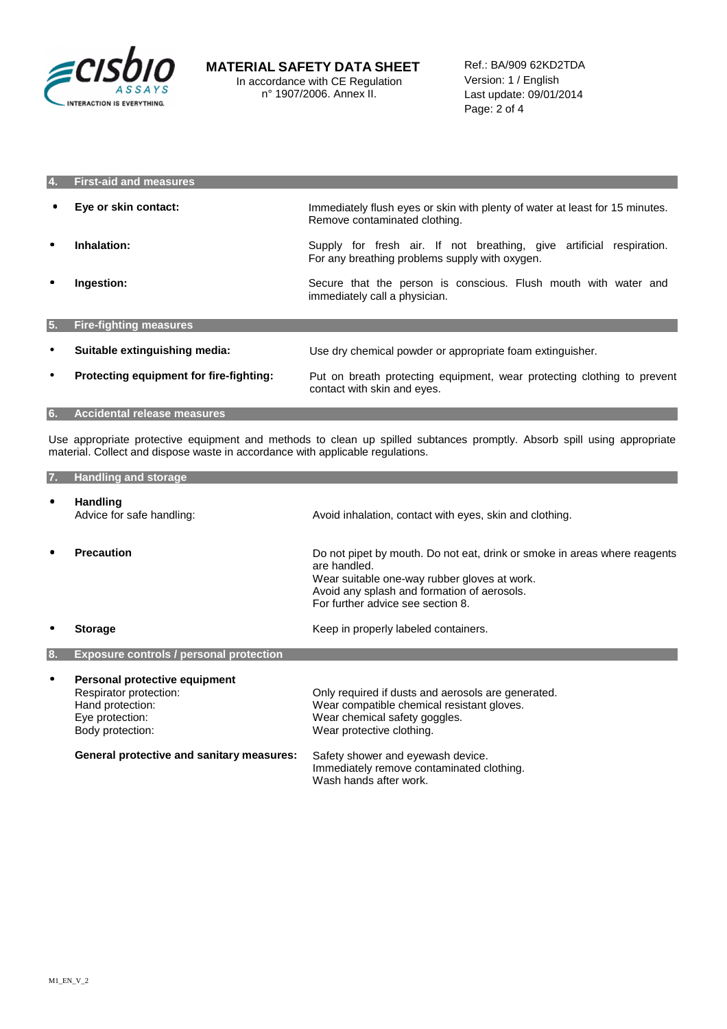

| 4. | <b>First-aid and measures</b>           |                                                                                                                        |
|----|-----------------------------------------|------------------------------------------------------------------------------------------------------------------------|
|    | Eye or skin contact:                    | Immediately flush eyes or skin with plenty of water at least for 15 minutes.<br>Remove contaminated clothing.          |
| ٠  | Inhalation:                             | Supply for fresh air. If not breathing, give artificial respiration.<br>For any breathing problems supply with oxygen. |
| ٠  | Ingestion:                              | Secure that the person is conscious. Flush mouth with water and<br>immediately call a physician.                       |
| 5. | <b>Fire-fighting measures</b>           |                                                                                                                        |
| ٠  | Suitable extinguishing media:           | Use dry chemical powder or appropriate foam extinguisher.                                                              |
| ٠  | Protecting equipment for fire-fighting: | Put on breath protecting equipment, wear protecting clothing to prevent<br>contact with skin and eyes.                 |
| 6. | <b>Accidental release measures</b>      |                                                                                                                        |

Use appropriate protective equipment and methods to clean up spilled subtances promptly. Absorb spill using appropriate material. Collect and dispose waste in accordance with applicable regulations.

| 7. | <b>Handling and storage</b>                                                                                        |                                                                                                                                                                                                                               |
|----|--------------------------------------------------------------------------------------------------------------------|-------------------------------------------------------------------------------------------------------------------------------------------------------------------------------------------------------------------------------|
| ٠  | <b>Handling</b><br>Advice for safe handling:                                                                       | Avoid inhalation, contact with eyes, skin and clothing.                                                                                                                                                                       |
| ٠  | <b>Precaution</b>                                                                                                  | Do not pipet by mouth. Do not eat, drink or smoke in areas where reagents<br>are handled.<br>Wear suitable one-way rubber gloves at work.<br>Avoid any splash and formation of aerosols.<br>For further advice see section 8. |
|    | <b>Storage</b>                                                                                                     | Keep in properly labeled containers.                                                                                                                                                                                          |
| 8. | <b>Exposure controls / personal protection</b>                                                                     |                                                                                                                                                                                                                               |
| ٠  | Personal protective equipment<br>Respirator protection:<br>Hand protection:<br>Eye protection:<br>Body protection: | Only required if dusts and aerosols are generated.<br>Wear compatible chemical resistant gloves.<br>Wear chemical safety goggles.<br>Wear protective clothing.                                                                |
|    | <b>General protective and sanitary measures:</b>                                                                   | Safety shower and eyewash device.<br>Immediately remove contaminated clothing.<br>Wash hands after work.                                                                                                                      |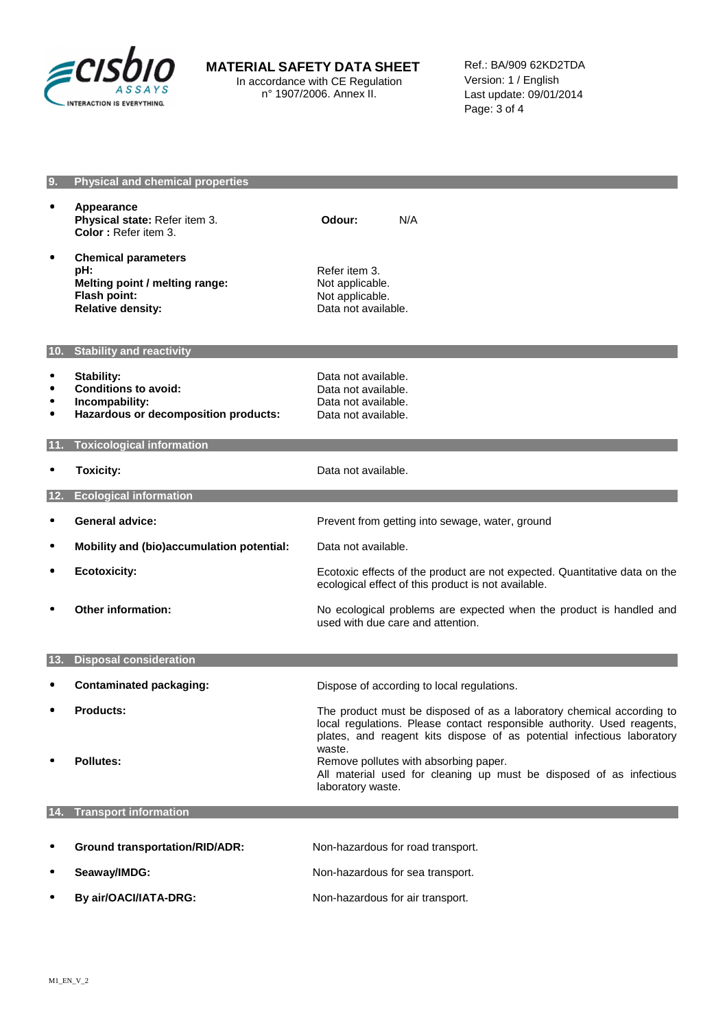

## **MATERIAL SAFETY DATA SHEET**

In accordance with CE Regulation n° 1907/2006. Annex II.

Ref.: BA/909 62KD2TDA Version: 1 / English Last update: 09/01/2014 Page: 3 of 4

| 9.                                               | <b>Physical and chemical properties</b>                                                                         |                                                                                                                                                                                                                                      |
|--------------------------------------------------|-----------------------------------------------------------------------------------------------------------------|--------------------------------------------------------------------------------------------------------------------------------------------------------------------------------------------------------------------------------------|
| $\bullet$                                        | Appearance<br>Physical state: Refer item 3.<br>Color: Refer item 3.                                             | Odour:<br>N/A                                                                                                                                                                                                                        |
| ٠                                                | <b>Chemical parameters</b><br>pH:<br>Melting point / melting range:<br>Flash point:<br><b>Relative density:</b> | Refer item 3.<br>Not applicable.<br>Not applicable.<br>Data not available.                                                                                                                                                           |
|                                                  | 10. Stability and reactivity                                                                                    |                                                                                                                                                                                                                                      |
| $\bullet$<br>$\bullet$<br>$\bullet$<br>$\bullet$ | <b>Stability:</b><br><b>Conditions to avoid:</b><br>Incompability:<br>Hazardous or decomposition products:      | Data not available.<br>Data not available.<br>Data not available.<br>Data not available.                                                                                                                                             |
| 11.                                              | <b>Toxicological information</b>                                                                                |                                                                                                                                                                                                                                      |
| $\bullet$                                        | <b>Toxicity:</b>                                                                                                | Data not available.                                                                                                                                                                                                                  |
| 12.                                              | <b>Ecological information</b>                                                                                   |                                                                                                                                                                                                                                      |
| ٠                                                | <b>General advice:</b>                                                                                          | Prevent from getting into sewage, water, ground                                                                                                                                                                                      |
| $\bullet$                                        | Mobility and (bio)accumulation potential:                                                                       | Data not available.                                                                                                                                                                                                                  |
| ٠                                                | <b>Ecotoxicity:</b>                                                                                             | Ecotoxic effects of the product are not expected. Quantitative data on the<br>ecological effect of this product is not available.                                                                                                    |
| $\bullet$                                        | <b>Other information:</b>                                                                                       | No ecological problems are expected when the product is handled and<br>used with due care and attention.                                                                                                                             |
|                                                  | 13. Disposal consideration                                                                                      |                                                                                                                                                                                                                                      |
|                                                  |                                                                                                                 |                                                                                                                                                                                                                                      |
| $\bullet$                                        | <b>Contaminated packaging:</b>                                                                                  | Dispose of according to local regulations.                                                                                                                                                                                           |
| $\bullet$                                        | <b>Products:</b>                                                                                                | The product must be disposed of as a laboratory chemical according to<br>local requlations. Please contact responsible authority. Used reagents,<br>plates, and reagent kits dispose of as potential infectious laboratory<br>waste. |
|                                                  | Pollutes:                                                                                                       | Remove pollutes with absorbing paper.<br>All material used for cleaning up must be disposed of as infectious<br>laboratory waste.                                                                                                    |
| 14.                                              | <b>Transport information</b>                                                                                    |                                                                                                                                                                                                                                      |
|                                                  | <b>Ground transportation/RID/ADR:</b>                                                                           |                                                                                                                                                                                                                                      |
| ٠                                                |                                                                                                                 | Non-hazardous for road transport.                                                                                                                                                                                                    |
| ٠                                                | Seaway/IMDG:                                                                                                    | Non-hazardous for sea transport.                                                                                                                                                                                                     |
| ٠                                                | By air/OACI/IATA-DRG:                                                                                           | Non-hazardous for air transport.                                                                                                                                                                                                     |